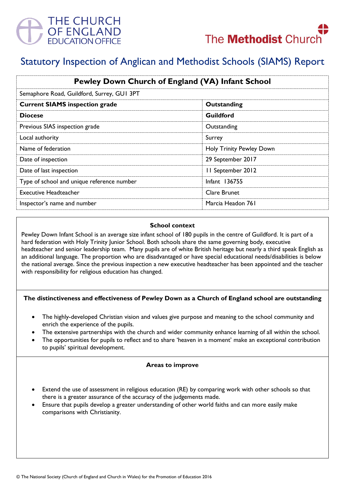



# Statutory Inspection of Anglican and Methodist Schools (SIAMS) Report

| Pewley Down Church of England (VA) Infant School |                          |
|--------------------------------------------------|--------------------------|
| Semaphore Road, Guildford, Surrey, GUI 3PT       |                          |
| <b>Current SIAMS inspection grade</b>            | Outstanding              |
| <b>Diocese</b>                                   | Guildford                |
| Previous SIAS inspection grade                   | Outstanding              |
| Local authority                                  | Surrey                   |
| Name of federation                               | Holy Trinity Pewley Down |
| Date of inspection                               | 29 September 2017        |
| Date of last inspection                          | II September 2012        |
| Type of school and unique reference number       | <b>Infant 136755</b>     |
| <b>Executive Headteacher</b>                     | Clare Brunet             |
| Inspector's name and number                      | Marcia Headon 761        |

## **School context**

Pewley Down Infant School is an average size infant school of 180 pupils in the centre of Guildford. It is part of a hard federation with Holy Trinity Junior School. Both schools share the same governing body, executive headteacher and senior leadership team. Many pupils are of white British heritage but nearly a third speak English as an additional language. The proportion who are disadvantaged or have special educational needs/disabilities is below the national average. Since the previous inspection a new executive headteacher has been appointed and the teacher with responsibility for religious education has changed.

### **The distinctiveness and effectiveness of Pewley Down as a Church of England school are outstanding**

- The highly-developed Christian vision and values give purpose and meaning to the school community and enrich the experience of the pupils.
- The extensive partnerships with the church and wider community enhance learning of all within the school.
- The opportunities for pupils to reflect and to share 'heaven in a moment' make an exceptional contribution to pupils' spiritual development.

### **Areas to improve**

- Extend the use of assessment in religious education (RE) by comparing work with other schools so that there is a greater assurance of the accuracy of the judgements made.
- Ensure that pupils develop a greater understanding of other world faiths and can more easily make comparisons with Christianity.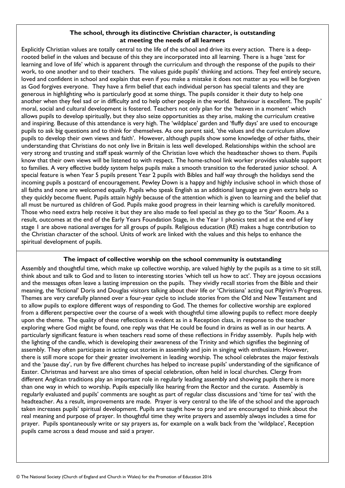# **The school, through its distinctive Christian character, is outstanding at meeting the needs of all learners**

Explicitly Christian values are totally central to the life of the school and drive its every action. There is a deeprooted belief in the values and because of this they are incorporated into all learning. There is a huge 'zest for learning and love of life' which is apparent through the curriculum and through the response of the pupils to their work, to one another and to their teachers. The values guide pupils' thinking and actions. They feel entirely secure, loved and confident in school and explain that even if you make a mistake it does not matter as you will be forgiven as God forgives everyone. They have a firm belief that each individual person has special talents and they are generous in highlighting who is particularly good at some things. The pupils consider it their duty to help one another when they feel sad or in difficulty and to help other people in the world. Behaviour is excellent. The pupils' moral, social and cultural development is fostered. Teachers not only plan for the 'heaven in a moment' which allows pupils to develop spiritually, but they also seize opportunities as they arise, making the curriculum creative and inspiring. Because of this attendance is very high. The 'wildplace' garden and 'fluffy days' are used to encourage pupils to ask big questions and to think for themselves. As one parent said, 'the values and the curriculum allow pupils to develop their own views and faith'. However, although pupils show some knowledge of other faiths, their understanding that Christians do not only live in Britain is less well developed. Relationships within the school are very strong and trusting and staff speak warmly of the Christian love which the headteacher shows to them. Pupils know that their own views will be listened to with respect. The home-school link worker provides valuable support to families. A very effective buddy system helps pupils make a smooth transition to the federated junior school. A special feature is when Year 5 pupils present Year 2 pupils with Bibles and half way through the holidays send the incoming pupils a postcard of encouragement. Pewley Down is a happy and highly inclusive school in which those of all faiths and none are welcomed equally. Pupils who speak English as an additional language are given extra help so they quickly become fluent. Pupils attain highly because of the attention which is given to learning and the belief that all must be nurtured as children of God. Pupils make good progress in their learning which is carefully monitored. Those who need extra help receive it but they are also made to feel special as they go to the 'Star' Room. As a result, outcomes at the end of the Early Years Foundation Stage, in the Year 1 phonics test and at the end of key stage 1 are above national averages for all groups of pupils. Religious education (RE) makes a huge contribution to the Christian character of the school. Units of work are linked with the values and this helps to enhance the spiritual development of pupils.

# **The impact of collective worship on the school community is outstanding**

Assembly and thoughtful time, which make up collective worship, are valued highly by the pupils as a time to sit still, think about and talk to God and to listen to interesting stories 'which tell us how to act'. They are joyous occasions and the messages often leave a lasting impression on the pupils. They vividly recall stories from the Bible and their meaning, the 'fictional' Doris and Douglas visitors talking about their life or 'Christiana' acting out Pilgrim's Progress. Themes are very carefully planned over a four-year cycle to include stories from the Old and New Testament and to allow pupils to explore different ways of responding to God. The themes for collective worship are explored from a different perspective over the course of a week with thoughtful time allowing pupils to reflect more deeply upon the theme. The quality of these reflections is evident as in a Reception class, in response to the teacher exploring where God might be found, one reply was that He could be found in drains as well as in our hearts. A particularly significant feature is when teachers read some of these reflections in Friday assembly. Pupils help with the lighting of the candle, which is developing their awareness of the Trinity and which signifies the beginning of assembly. They often participate in acting out stories in assembly and join in singing with enthusiasm. However, there is still more scope for their greater involvement in leading worship. The school celebrates the major festivals and the 'pause day', run by five different churches has helped to increase pupils' understanding of the significance of Easter. Christmas and harvest are also times of special celebration, often held in local churches. Clergy from different Anglican traditions play an important role in regularly leading assembly and showing pupils there is more than one way in which to worship. Pupils especially like hearing from the Rector and the curate. Assembly is regularly evaluated and pupils' comments are sought as part of regular class discussions and 'time for tea' with the headteacher. As a result, improvements are made. Prayer is very central to the life of the school and the approach taken increases pupils' spiritual development. Pupils are taught how to pray and are encouraged to think about the real meaning and purpose of prayer. In thoughtful time they write prayers and assembly always includes a time for prayer. Pupils spontaneously write or say prayers as, for example on a walk back from the 'wildplace', Reception pupils came across a dead mouse and said a prayer.